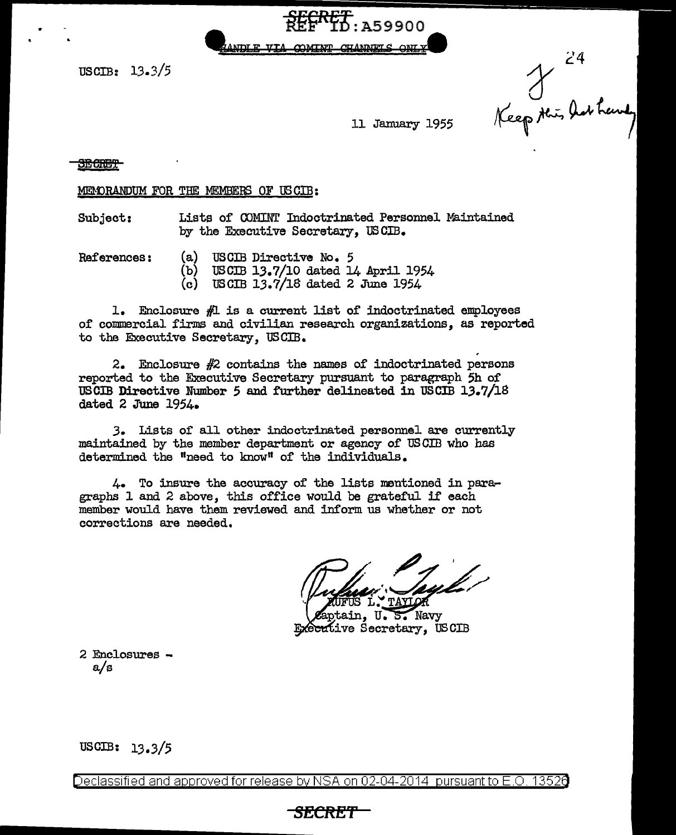$\frac{FERT}{REF}$ : A59900

 $USCTB: 13.3/5$ 

24<br>Keep this has have

11 January 1955

### **SEGRET**

MEMORANDUM FOR THE MEMBERS OF USCIB:

Subject: Lists of COMINT Indoctrinated Personnel Maintained by the Executive Secretary, USCIB.

References: (a) USCIB Directive No. 5<br>(b) USCIB 13.7/10 dated L

- USCIB 13.7/10 dated 14 April 1954
- $(c)$  USCIB 13.7/18 dated 2 June 1954

1. Enclosure  $#$ l is a current list of indoctrinated employees of commercial firms and civilian research organizations, as reported to the Executive Secretary, USCIB.

. 2. Enclosure #2 contains the names of indoctrinated persons reported to the Executive Secretary pursuant to paragraph 5h of USCIB Directive Number 5 and further delineated in USCIB 1.3.7/18 dated 2 June 1954.

*3.* Lists of all other indoctrinated personnel are currently maintained by the member department or agency of US CID who has determined the "need to know" of the individuals.

4. To insure the accuracy of the lists mentioned in paragraphs 1 and 2 above, this office would be grateful if each member would have them reviewed and inform. us whether or not corrections are needed.

**TAYLOR** 

tain, U.S. Navy Executive Secretary, USCIB

2 Enclosures  $-a/s$ 

USCIB: 13.3/5

Declassified and approved for release by NSA on 02-04-2014 pursuant to E.O. 13526

# **SECRET**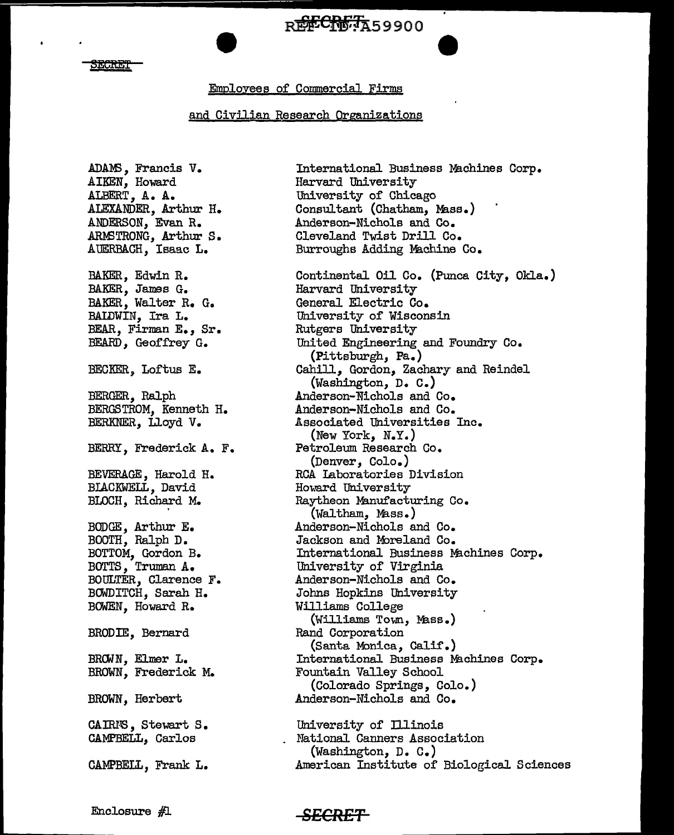# RECRETA59900

### EGRET

## Emplovees of Commercial Firms

## and Civjlian Research Organizations

ADAM3, Francis V. AIKEN, Howard ALBERT, A. A. ALEXANDER, Arthur H. ANDERSON, Evan R. ARMSTRONG, Arthur S. AUERBACH, Isaac L. BAKER, Edwin R. BAKER, James G. BAKER, Walter R. G. BALDWIN, Ira L. BEAR, Firman E., Sr. BEARD, Geoffrey G. BECKER, Loftus E. BERGER, Ralph BERGSTROM, Kenneth H. BERKNER, IJ.oyd V. BERRY, Frederick A. F. BEVERAGE, Harold H. BIACKWELL, David BLOCH, Richard M. BODGE, Arthur E. BOOTH, Ralph D. BOTTOM, Gordon B. BOTTS, Truman A. BOULTER, Clarence F. BOWDITCH, Sarah H. BOWEN, Howard R. BRODIE, Bernard BROWN. Elmer L. BROWN, Frederick M. BROWN, Herbert CAIRNS, Stewart S. CAMPBELL, Carlos CAMPBELL, Frank L.

International Business Machines Corp. Harvard University University of Chicago Consultant (Chatham, Mass.) Anderson-Nichols and Co. Cleveland Twist Drill Co. Burroughs Adding Machine Co. Continental Oil Co. (Punca City, Okla.) Harvard University General Electric Co. University of Wisconsin Rutgers University United Engineering and Foundry Co. (Pittsburgh, Pa.) Cahill, Gordon, Zachary and Reindel (Washington, D. C.) Anderson-Nichols and Co. Anderson-Nichols and Co. Associated Universities Inc. (New York, N.Y.) Petroleum Research Co. (Denver, Colo.) RCA Laboratories Division Howard University Raytheon Manufacturing Co. (Waltham, Mass.) Anderson-Nichols and Co. Jackson and Moreland Co. International Business Machines Corp. University of Virginia Anderson-Nichols and Co. Johns Hopkins University Williams College (Williams Town, Mass.) Rand Corporation (Santa Monica, Calif.) International Business Machines Corp. Fountain Valley School (Colorado Springs, Colo.) Anderson-Michels and Co. University of Illinois

National Canners Association (Washington, D. C.) American Institute of Biological Sciences

Enclosure #1

## **SECRET**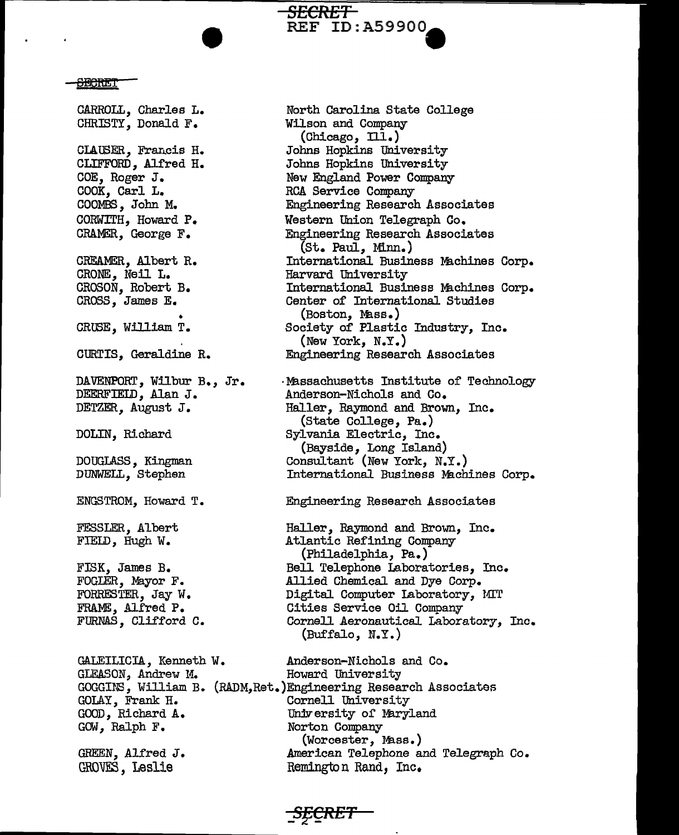**BEGRET** 

CARROLL, Charles L. CHRISTY, Donald F. CLAUSER, Francis H. CLIFFORD, Alfred H. COE, Roger J. COOK, Carl L. COOMBS, John M. CORWITH, Howard P. CRAMER, George F. CREAMER, Albert R. CRONE:, Meil L. CROSON, Robert B. CROSS, James E. • CRUSE, William T. CURTIS, Geraldine R. DAVENPORT, Wilbur B., Jr. DEERFIELD, Alan J. DETZER., August J. DOLIN, Richard DOUGLASS, Kingman DUNWELL, Stephen ENGSTROM, Howard T. FESSLER, Albert FIELD, Hugh W. FISK, James B. FOGLER, Mayor F. FORRESTER, Jay W. FRAME, Alfred P. FURNAS, Clifford C. GALEILICIA, Kenneth W. GLEASON, Andrew M. GOLAY, Frank H. GOOD, Richard A. GOW, Ralph F. GREEN, Alfred J. GROVES, Leslie

North Carolina State College Wilson and Company (Chicago, Ill.) Johns Hopkins University Johns Hopkins University New England Power Company RCA Service Company Engineering Research Associates Western Union Telegraph Co. Engineering Research Associates (St. Paul, Minn.) International Business Machines Corp. Harvard University International Business Machines Corp. Center of International Studies (Boston, Ml.ss.) Society of Plastic Industry, Inc. (New York, N.Y.) Engineering Research Associates ·Missachusetts Institute of Technology Anderson-Nichols and Co. Haller, Raymond and Brown, Inc. (State College, Pa.) Sylvania Electric, Inc. (Bayside, Long Island) Consultant (New York, N.Y.) International Business Machines Corp. Engineering Research Associates Haller, Raymond and Brown, Inc. Atlantic Refining Company (Philadelphia, Pa.) Bell Telephone Laboratories, Inc. Allied Chemical and Dye Corp. Digital Computer Laboratory, MIT Cities Service Oil Company Cornell Aeronautical Laboratory, Inc. (Buffalo, N.Y .) Anderson-Nichols and Co. Howard University GOGGINS, William B. (RADM,Ret.)Engineering Research Associates Cornell University University of Maryland Norton Company (Worcester, Mass.)

American Telephone and Telegraph Co. Remington Rand, Inc.

*SECRET* 

*SECRET* 

**REF ID:A59900**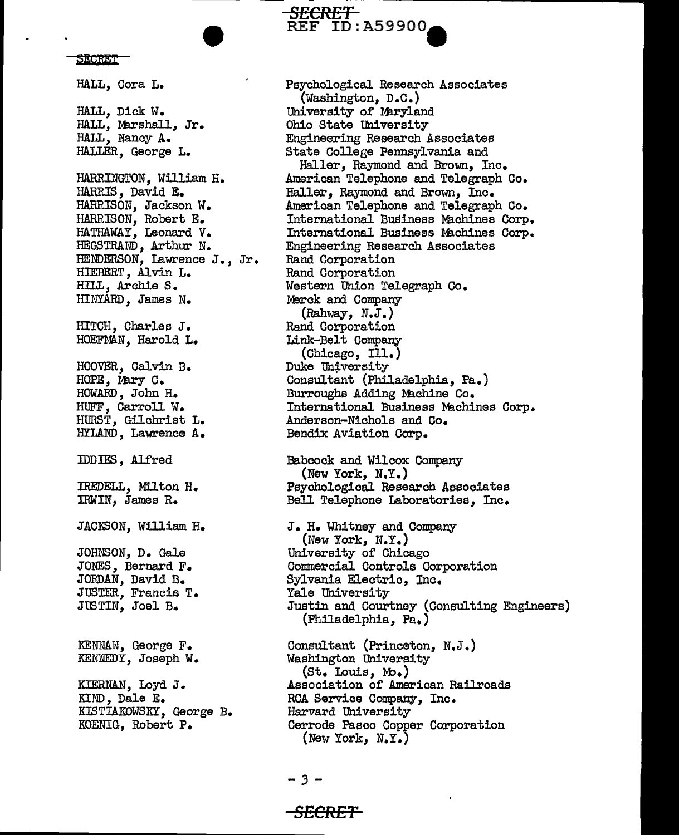**SECRET** 

HALL, Cora L. HALL, Dick W. HALL, Marshall, Jr. HALL, Nancy A. HALLER. George L. HARRINGTON, William H. HARRIS, David E. HARRISON, Jackson W. HARRISON. Robert E. HATHAWAY, Leonard V. HEGSTRAND, Arthur N. HENDERSON, Lawrence J., Jr. HIEBERT, Alvin L. HILL, Archie S. HINYARD, James N. HITCH, Charles J. HOEFMAN, Harold L. HOOVER, Calvin B. HOPE, Mary C. HOWARD, John H. HUFF, Carroll W. HURST, Gilchrist L. HYLAND, Lawrence A. **IDDIES**, Alfred IREDELL, Milton H. IRWIN, James R. JACKSON, William H. JOHNSON, D. Gale JONES, Bernard F. JORDAN, David B. JUSTER, Francis T. JUSTIN, Joel B. KENNAN, George F. KENNEDY, Joseph W. KIERNAN, Loyd J. KIND, Dale E. KISTIAKOWSKY, George B. KOENIG, Robert P.

Psychological Research Associates (Washington, D.C.) University of Maryland Ohio State University Engineering Research Associates State College Pennsylvania and Haller, Raymond and Brown, Inc. American Telephone and Telegraph Co. Haller, Raymond and Brown, Inc. American Telephone and Telegraph Co. International Business Machines Corp. International Business Machines Corp. Engineering Research Associates Rand Corporation Rand Corporation Western Union Telegraph Co. Merck and Company  $(Rahway, N.J.)$ Rand Corporation Link-Belt Company  $(Chicego, II..)$ Duke University Consultant (Philadelphia, Pa.) Burroughs Adding Machine Co. International Business Machines Corp. Anderson-Nichols and Co. Bendix Aviation Corp. Babcock and Wilcox Company (New York, N.Y.) Psychological Research Associates Bell Telephone Laboratories, Inc. J. H. Whitney and Company (New York,  $N.Y.$ ) University of Chicago Commercial Controls Corporation Sylvania Electric, Inc. Yale University Justin and Courtney (Consulting Engineers) (Philadelphia, Pa.) Consultant (Princeton, N.J.) Washington University (St. Louis, Mo.) Association of American Railroads RCA Service Company, Inc. Harvard University Cerrode Pasco Copper Corporation (New York,  $N_\bullet Y_\bullet$ )

<del>SECRET</del>

<del>SECRET-</del>

**REF ID: A59900**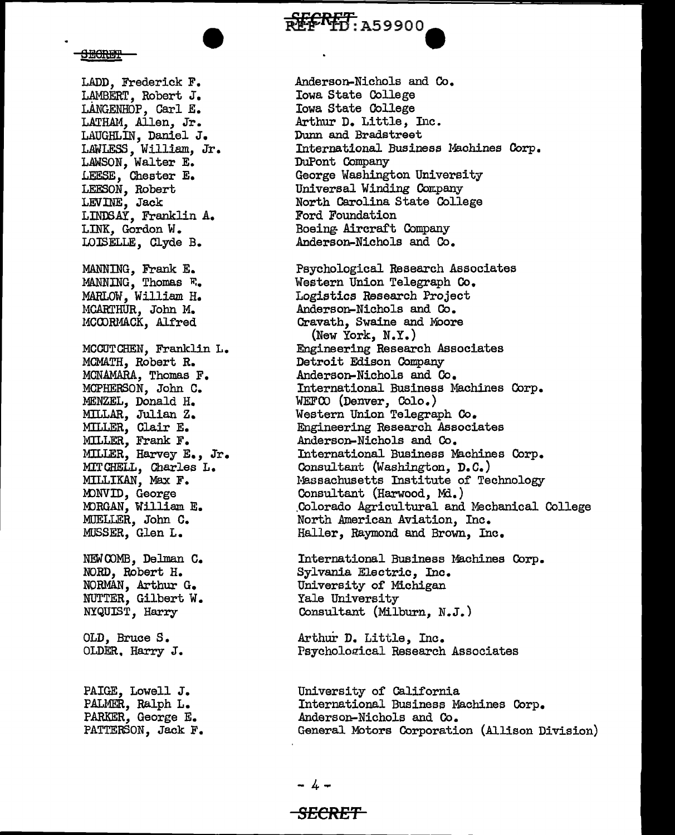**EEERET: A59900** 

**SHORET** 

LADD, Frederick F. LAMBERT, Robert J. LANGENHOP, Carl E. LATHAM, Allen, Jr. LAUGHLlli, Daniel J. LAWLESS, William, Jr. LAWSON, Walter E. LEESE, Chester E. LEESON, Robert LEVINE, Jack LINDSAY, Franklin A. LINK, Gordon W. LOISELLE, Clyde B. MANNING, Frank E. MANNING, Thomas F. MARLOW, William H. MCARTHUR, John M. MCOORMACK, Alfred MCCUTCHEN, Franklin L. MCMATH, Robert R. MCNAMARA, Thomas F. MCPHERSON, John C. MENZEL, Donald H. MILL.AR, Julian z. MILLER, Clair E. MILLER, Frank F. MILLER, Harvey E., Jr. MIT CHELL, Charles L. MILLIKAN, Max F. MONVID, George MORGAN, William E. MUELLER, John C. MUSSER, Glen L. NEWOOMB, Delman C. NORD, Robert H. NORMAN, Arthur G. NUTTER, Gilbert W. NYQUIST, Harry OLD, Bruce s. OLDER, Harry J. PAIGE, Lowell J. PALMER, Ralph L. PARKER, George E. PATTERSON, Jack F.

Anderson-Nichols and Co. Iowa State College Iowa State College Arthur D. Little, Inc. Dunn and Bradstreet International Business Machines Corp. DuPont Company George Washington University Universal Winding Company North Carolina State College Ford Foundation Boeing. Aircraft Company Anderson-Nichols and Co. Psychological Research Associates Western Union Telegraph Co. Logistics Research Project Anderson-Nichols and Co. Cravath, Swaine and Moore (New York, N. Y. ) Engineering Research Associates Detroit Edison Company

Anderson-Nichols and Co. International Business Machines Corp. WEFCO (Denver, Colo.) Western Union Telegraph Co. Engineering Research Associates Anderson-Nichols and Co. International Business Machines Corp. Consultant (Washington, D.C.) Hassachusetts Institute of Technology Consultant (Harwood, Md.) .Colorado Agricultural and Mechanical College North American Aviation, Inc. Haller, Raymond and Brown, Inc.

International Business Machines Corp. Sylvania Electric, Inc. University of Michigan Yale University Consultant (Milburn, N.J.)

Arthur D. Little, Inc. Psychological Research Associates

University of California International Business Machines Corp. .Anderson-Nichols and Co. General Motors Corporation (Allison Division)

## **SECRE'f**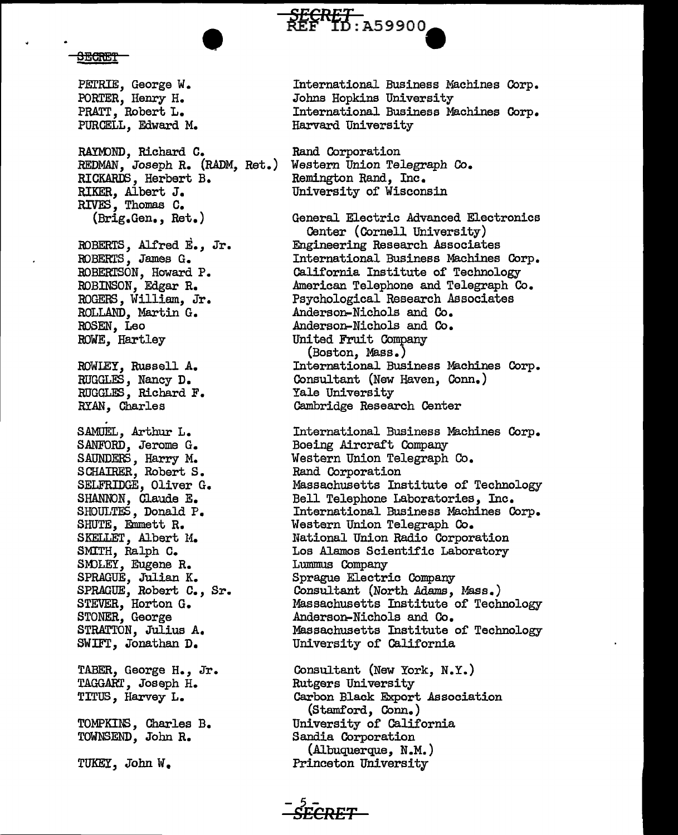

<del>SECRET</del>

PETRIE, George W. PORTER, Henry H. PRATT, Robert L. PURCELL, Edward M. • RAYMOND, Richard C. REDMAN, Joseph R. (RADM, Ret.) RICKARDS, Herbert B. RIKER, Albert J. RIVES, Thomas c. (Brig.Gen., Ret.) BOBERTS, Alfred E., Jr. BOBERTS, James G. ROBERTSON, Howard P. ROBINSON, Edgar R. ROGERS, William, Jr. ROLLAND, Martin G. ROSEN, Leo .ROWE, Hartley .ROWLEY, Russell A. RUGGLES, Nancy D. RUGGLES, Richard F. SAMUEL, Arthur L. SANFORD, Jerome G. SAUNDERS, Harry M. S CHAIRER, Robert S. SELFRIDGE, Oliver G. SHANNON, Claude E. SHOULTES, Donald P. SHUTE, Emmett R. SKELLET, Albert M. SMITH, Ralph C. SM)LEY, Eugene R. SPRAGUE, Julian K. SPRAGUE, Robert c., Sr. STEVER, Horton G. STONER, George STRATTON, Julius A. SWIFT, Jonathan D. TABER, George H., Jr. TAGGART, Joseph H. TITUS, Harvey L. TOMPKINS, Charles B. TOWNSEND, John R. TUKEY, John W.

International Business Machines Corp. Johns Hopkins University International Business Machines Corp. Harvard University

Rand Corporation Western Union Telegraph Co. Remington Rand, Inc. University of Wisconsin

General Electric Advanced Electronics Center (Cornell University) Engineering Research Associates International Business Machines Corp. California Institute of Technology .American Telephone and Telegraph Co. Psychological Research Associates Anderson-Nichols and Co. Anderson-Nichols and Co. United Fruit Company (Boston, Mass.) International Business Machines Corp • Consultant (New Haven, Conn.) Yale University Cambridge Research Center

International Business Machines Corp. Boeing Aircraft Company Western Union Telegraph Co. Rand Corporation Massachusetts Institute of Technology Bell Telephone Laboratories, Inc. International Business Machines Corp. Western Union Telegraph Co. National Union Radio Corporation Los Alamos Scientific Laboratory Lummus Company Sprague Electric Company Consultant (North Adams, Mass.) Massachusetts Institute of Technology Anderson-Nichols and Co. Massachusetts Institute of Technology University of California

Consultant (New York, N. Y.) Rutgers University Carbon Black Export Association (Stamford, Conn.) University of California Sandia Corporation (Albuquerque, N .M. ) Princeton University

*-s5£CRET*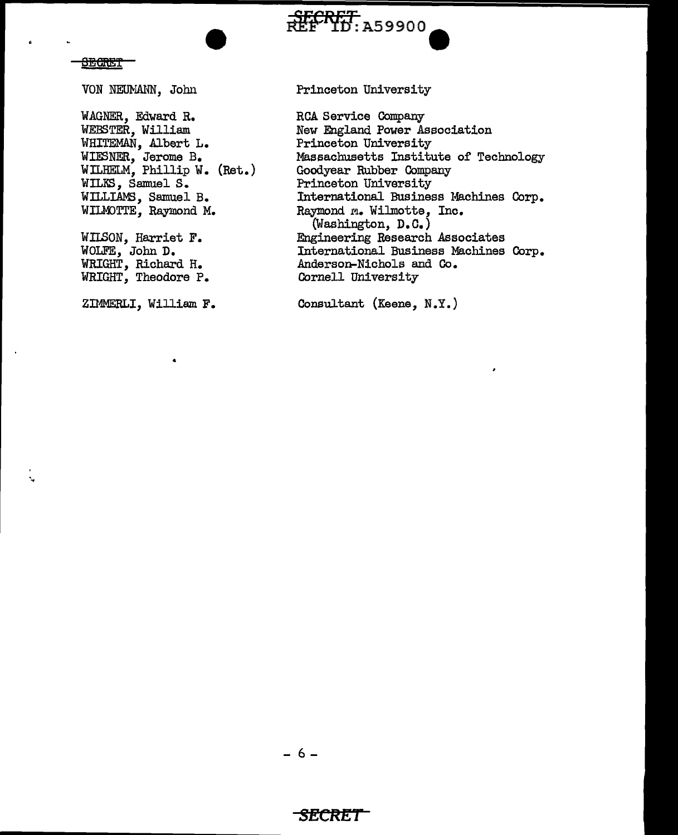### **SECRET**

VON NEUMANN, John

WAGNER, Edward R. WEBSTER, William WHITEMAN, Albert L.<br>WIESNER, Jerome B.<br>WILHELM, Phillip W. (Ret.) WILKS, Samuel S. WILLIAMS, Samuel B. WILMOTTE, Raymond M.

WILSON, Harriet F. WOLFE, John D. WRIGHT, Richard H. WRIGHT, Theodore P.

ZIMMERLI, William F.

Princeton University

FECRET: A59900

**RCA Service Company** New England Power Association Princeton University Massachusetts Institute of Technology Goodyear Rubber Company Princeton University International Business Machines Corp. Raymond M. Wilmotte, Inc.<br>(Washington, D.C.) Engineering Research Associates International Business Machines Corp. Anderson-Nichols and Co. Cornell University

Consultant (Keene, N.Y.)

## SECRET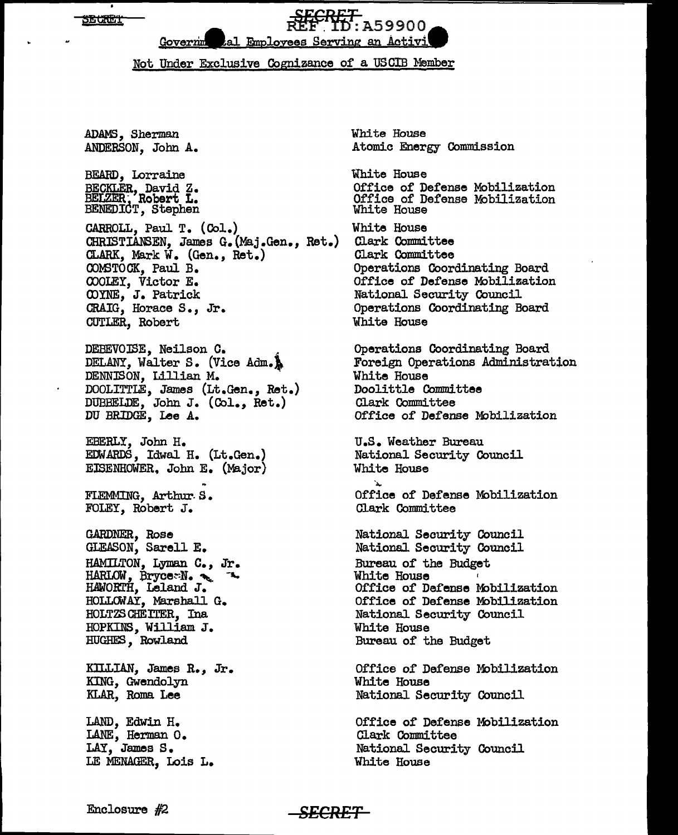**SEURET** 



## Not Under Exclusive Cognizance of a USCIB Member

ADAMS, Sherman ANDERSON, John A. BEARD, Lorraine BECKLER, David Z. BELZER, Robert L. BENEDICT, Stephen CARROLL, Paul T. (Col.) CHRISTIANSEN, James G. (Maj .Gen., Ret.) CLARK, Mark *W.* (Gen., Ret.) OOM3TOCK, Paul B. COOLEY, Victor E. <DYNE, J. Patrick CRAIG, Horace S., Jr. CUTLER, Robert DEBEVOISE, Neilson C.<br>DELANY, Walter S. (Vice Adm.) DENNISON, Lillian M. DOOLITTLE, James (Lt.Gen., Ret.) DUBBELDE, John J. (Col., Ret.) DU BRIDGE, Lee A. EBERLY, John H. EDWARDS, Idwal H. (Lt.Gen.) EISENHOWER, John E. (Major} FLEMMING, Arthur- S. FOLEY, Robert J. GARDNER, Rose GLEASON, Sarell E. HAMILTON, Lyman C. *,* Jr. HARLOW, Bryce $-N$ .  $\sim$ . HAWORrH, Leland J. HOLLOWAY, Marshall G. HOLTZSCHEITER, Ina HOPKINS, William J. HUGHES, Rowland KlLLIAN, James R., Jr. KING, Gwendolyn KLAR, Roma Lee LAND, Edwin H. LANE, Herman O. LAY, James S. LE MENAGER, Lois L.

White House Atomic Energy Commission

White House Office of Defense Mobilization Office of Defense Mobilization White House White House Clark Committee Clark Committee Operations Coordinating Board Office of Defense Mobilization National Security Council Operations Coordinating Board White House Operations Coordinating Board Foreign Operations Administration White House Doolittle Committee Clark Committee Office of Defense Mobilization U.S. Weather Bureau National Security Council White House Office of Defense Mobilization Clark Committee National Security Council National Security Council Bureau of the Budget White House

Office of Defense Mobilization Office of Defense Mobilization National Security Council White House Bureau of the Budget

Office of Defense Mobilization White House National Security Council

Office of Defense Mobilization Clark Committee National. Security Council White House

Enclosure #2 **SECRET**